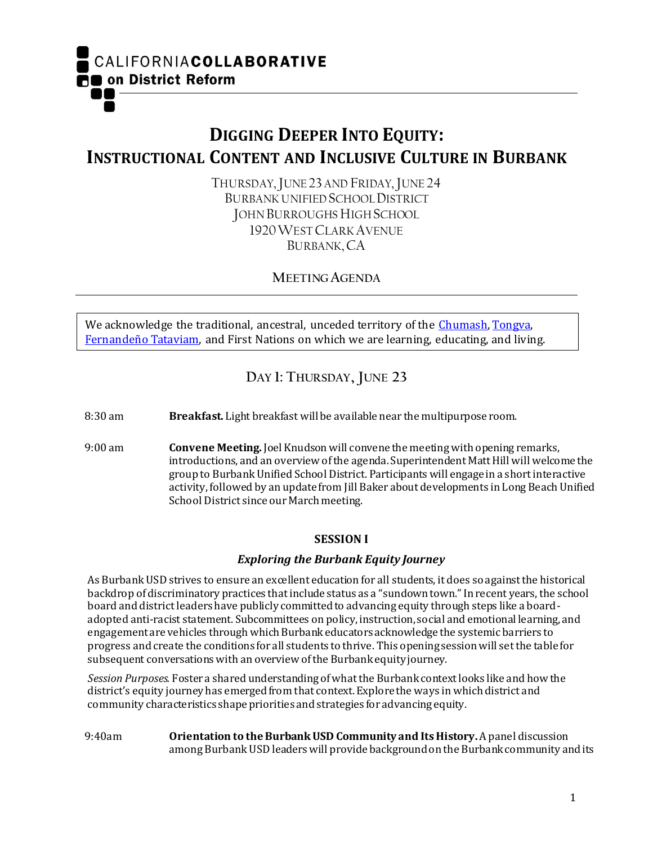CALIFORNIACOLLABORATIVE **RO** on District Reform

# **DIGGING DEEPER INTO EQUITY: INSTRUCTIONAL CONTENT AND INCLUSIVE CULTURE IN BURBANK**

THURSDAY, JUNE 23 AND FRIDAY, JUNE 24 BURBANK UNIFIED SCHOOL DISTRICT JOHN BURROUGHS HIGH SCHOOL 1920WEST CLARK AVENUE BURBANK, CA

**MEETING AGENDA**

We acknowledge the traditional, ancestral, unceded territory of the [Chumash,](https://en.wikipedia.org/wiki/Chumash_people) [Tongva,](https://en.wikipedia.org/wiki/Tongva) [Fernandeño Tataviam,](https://www.tataviam-nsn.us/) and First Nations on which we are learning, educating, and living.

# **DAY 1: THURSDAY, JUNE 23**

8:30 am **Breakfast.** Light breakfast will be available near the multipurpose room.

9:00 am **Convene Meeting.** Joel Knudson will convene the meeting with opening remarks, introductions, and an overview of the agenda. Superintendent Matt Hill will welcome the group to BurbankUnified School District. Participants will engage in a short interactive activity, followed by an update from Jill Baker about developments in Long Beach Unified School District since our March meeting.

## **SESSION I**

## *Exploring the Burbank Equity Journey*

As Burbank USD strives to ensure an excellent education for all students, it does so against the historical backdrop of discriminatory practices that include status as a "sundown town." In recent years, the school board and district leaders have publicly committed to advancing equity through steps like a boardadopted anti-racist statement. Subcommittees on policy, instruction, social and emotional learning, and engagement are vehicles through which Burbank educators acknowledge the systemic barriers to progress and create the conditions for all students to thrive. This opening session will set the table for subsequent conversations with an overview of the Burbank equity journey.

*Session Purposes.* Foster a shared understanding of what the Burbank context looks like and how the district's equity journey has emerged from that context. Explore the ways in which district and community characteristics shape priorities and strategies for advancing equity.

9:40am **Orientation to the Burbank USD Community and Its History.** Apanel discussion among Burbank USD leaders will provide background on the Burbank community and its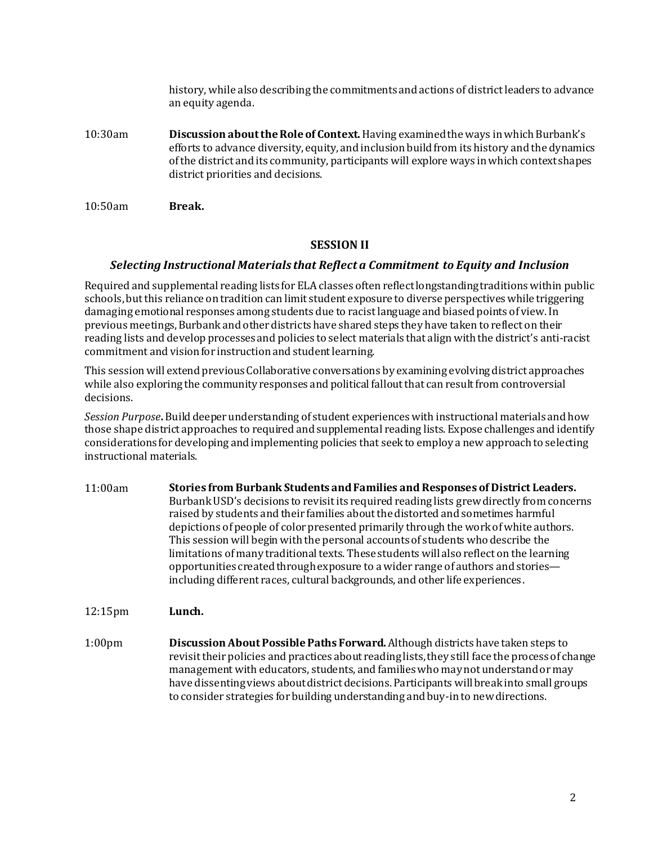history, while also describing the commitments and actions of district leaders to advance an equity agenda.

- 10:30am **Discussion about the Role of Context.** Having examined the ways in which Burbank's efforts to advance diversity, equity, and inclusion build from its history and the dynamics of the district and its community, participants will explore ways in which context shapes district priorities and decisions.
- 10:50am **Break.**

## **SESSION II**

### *Selecting Instructional Materials that Reflect a Commitment to Equity and Inclusion*

Required and supplemental reading lists for ELA classes often reflect longstanding traditions within public schools, but this reliance on tradition can limit student exposure to diverse perspectives while triggering damaging emotional responses among students due to racist language and biased points of view. In previous meetings, Burbank and other districts have shared steps they have taken to reflect on their reading lists and develop processes and policies to select materials that align with the district's anti-racist commitment and vision for instruction and student learning.

This session will extend previous Collaborative conversations by examining evolving district approaches while also exploring the community responses and political fallout that can result from controversial decisions.

*Session Purpose***.** Build deeper understanding of student experiences with instructional materials and how those shape district approaches to required and supplemental reading lists. Expose challenges and identify considerations for developing and implementing policies that seek to employ a new approach to selecting instructional materials.

11:00am **Stories from Burbank Students and Families and Responses of District Leaders.**  Burbank USD's decisions to revisit its required reading lists grew directly from concerns raised by students and their families about the distorted and sometimes harmful depictions of people of color presented primarily through the work of white authors. This session will begin with the personal accounts of students who describe the limitations of many traditional texts. These students will also reflect on the learning opportunities created through exposure to a wider range of authors and stories including different races, cultural backgrounds, and other life experiences.

12:15pm **Lunch.**

1:00pm **Discussion About PossiblePaths Forward.** Although districts have taken steps to revisit their policies and practices about reading lists, they still face the process of change management with educators, students, and families who may not understand or may have dissenting views about district decisions. Participants will break into small groups to consider strategies for building understanding and buy-in to new directions.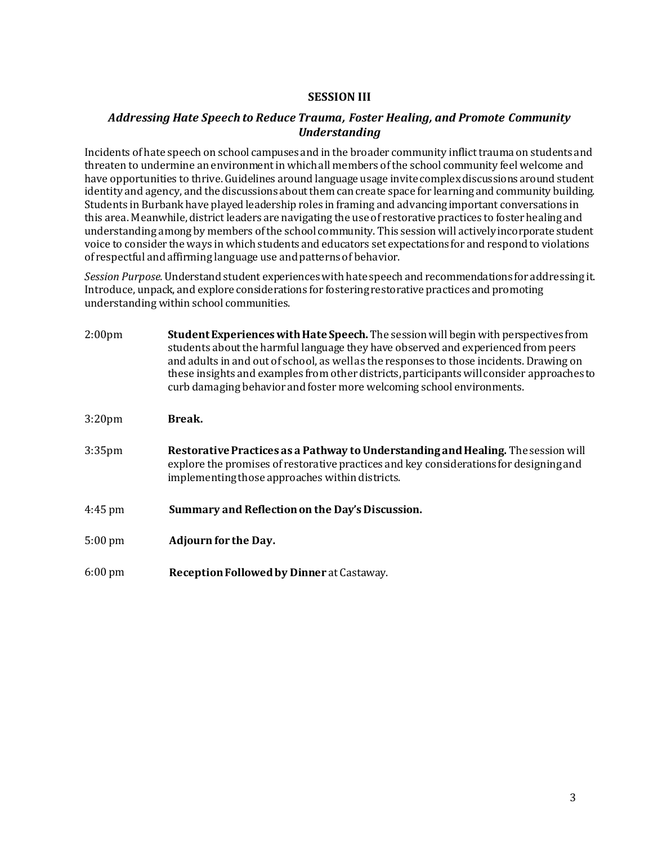## **SESSION III**

## *Addressing Hate Speech to Reduce Trauma, Foster Healing, and Promote Community Understanding*

Incidents of hate speech on school campuses and in the broader community inflict trauma on students and threaten to undermine an environment in which all members of the school community feel welcome and have opportunities to thrive. Guidelines around language usage invite complex discussions around student identity and agency, and the discussions about them can create space for learning and community building. Students in Burbank have played leadership roles in framing and advancing important conversations in this area. Meanwhile, district leaders are navigating the use of restorative practices to foster healing and understanding among by members of the school community. This session will actively incorporate student voice to consider the ways in which students and educators set expectations for and respond to violations of respectful and affirming language use and patterns of behavior.

*Session Purpose.*Understand student experiences with hate speech and recommendations for addressing it. Introduce, unpack, and explore considerations for fostering restorative practices and promoting understanding within school communities.

| 2:00 <sub>pm</sub> | Student Experiences with Hate Speech. The session will begin with perspectives from<br>students about the harmful language they have observed and experienced from peers<br>and adults in and out of school, as well as the responses to those incidents. Drawing on<br>these insights and examples from other districts, participants will consider approaches to<br>curb damaging behavior and foster more welcoming school environments. |
|--------------------|---------------------------------------------------------------------------------------------------------------------------------------------------------------------------------------------------------------------------------------------------------------------------------------------------------------------------------------------------------------------------------------------------------------------------------------------|
| 3:20 <sub>pm</sub> | Break.                                                                                                                                                                                                                                                                                                                                                                                                                                      |
| 3:35 <sub>pm</sub> | Restorative Practices as a Pathway to Understanding and Healing. The session will<br>explore the promises of restorative practices and key considerations for designing and<br>implementing those approaches within districts.                                                                                                                                                                                                              |
| $4:45$ pm          | Summary and Reflection on the Day's Discussion.                                                                                                                                                                                                                                                                                                                                                                                             |
| $5:00 \text{ pm}$  | <b>Adjourn for the Day.</b>                                                                                                                                                                                                                                                                                                                                                                                                                 |
| $6:00 \text{ pm}$  | Reception Followed by Dinner at Castaway.                                                                                                                                                                                                                                                                                                                                                                                                   |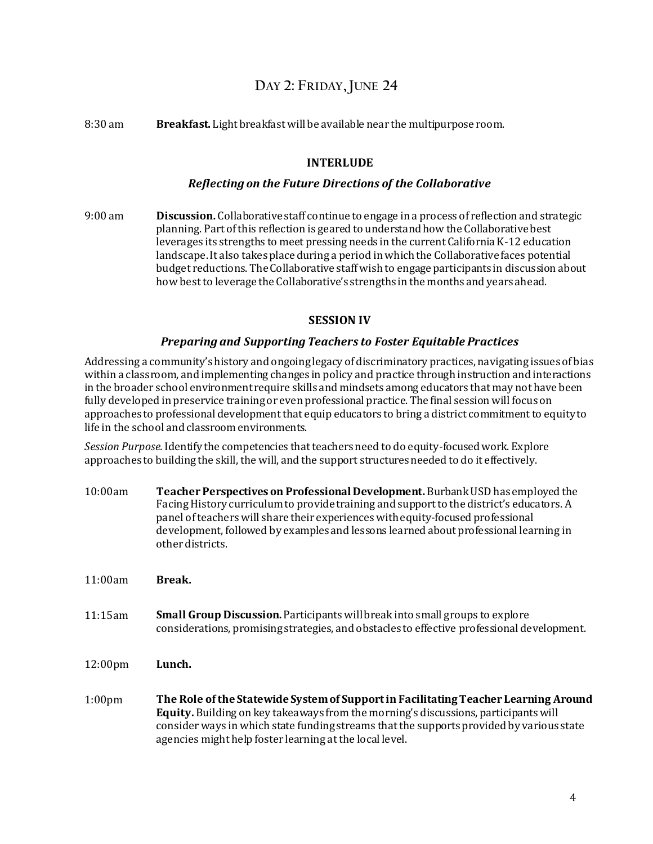## **DAY 2: FRIDAY,JUNE 24**

8:30 am **Breakfast.** Light breakfast will be available near the multipurpose room.

### **INTERLUDE**

#### *Reflecting on the Future Directions of the Collaborative*

9:00 am **Discussion.** Collaborative staff continue to engage in a process of reflection and strategic planning. Part of this reflection is geared to understand how the Collaborative best leverages its strengths to meet pressing needs in the current California K-12 education landscape. It also takes place during a period in which the Collaborative faces potential budget reductions. The Collaborative staff wish to engage participants in discussion about how best to leverage the Collaborative's strengths in the months and years ahead.

### **SESSION IV**

### *Preparing and Supporting Teachers to Foster Equitable Practices*

Addressing a community's history and ongoing legacy of discriminatory practices, navigating issues of bias within a classroom, and implementing changes in policy and practice through instruction and interactions in the broader school environment require skills and mindsets among educators that may not have been fully developed in preservice training or even professional practice. The final session will focus on approaches to professional development that equip educators to bring a district commitment to equity to life in the school and classroom environments.

*Session Purpose.*Identify the competencies that teachers need to do equity-focused work. Explore approaches to building the skill, the will, and the support structures needed to do it effectively.

- 10:00am **Teacher Perspectives on Professional Development.** Burbank USD has employed the Facing History curriculum to provide training and support to the district's educators. A panel of teachers will share their experiences with equity-focused professional development, followed by examples and lessons learned about professional learning in other districts.
- 11:00am **Break.**
- 11:15am **Small Group Discussion.** Participants will break into small groups to explore considerations, promising strategies, and obstacles to effective professional development.
- 12:00pm **Lunch.**
- 1:00pm **The Role of the Statewide System of Support in Facilitating Teacher Learning Around Equity.** Building on key takeaways from the morning's discussions, participants will consider ways in which state funding streams that the supports provided by various state agencies might help foster learning at the local level.